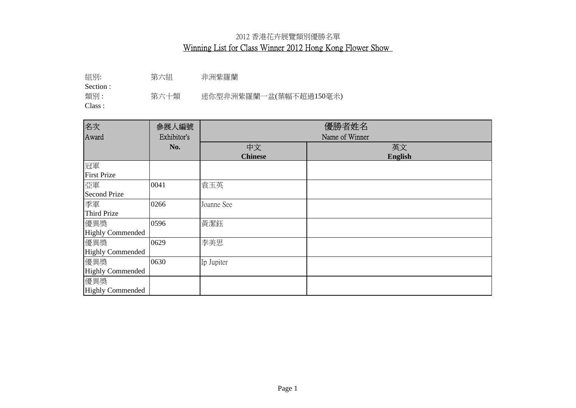組別: 第六組 非洲紫羅蘭

Section :

類別: 第六十類 迷你型非洲紫羅蘭一盆(葉幅不超過150毫米)

| 名次                      | 参展人編號       | 優勝者姓名          |                |
|-------------------------|-------------|----------------|----------------|
| Award                   | Exhibitor's | Name of Winner |                |
|                         | No.         | 中文             | 英文             |
|                         |             | <b>Chinese</b> | <b>English</b> |
| 冠軍                      |             |                |                |
| <b>First Prize</b>      |             |                |                |
| 亞軍                      | 0041        | 袁玉英            |                |
| <b>Second Prize</b>     |             |                |                |
| 季軍                      | 0266        | Joanne See     |                |
| <b>Third Prize</b>      |             |                |                |
| 優異獎                     | 0596        | 黃潔鈺            |                |
| <b>Highly Commended</b> |             |                |                |
| 優異獎                     | 0629        | 李美思            |                |
| <b>Highly Commended</b> |             |                |                |
| 優異獎                     | 0630        | Ip Jupiter     |                |
| <b>Highly Commended</b> |             |                |                |
| 優異獎                     |             |                |                |
| <b>Highly Commended</b> |             |                |                |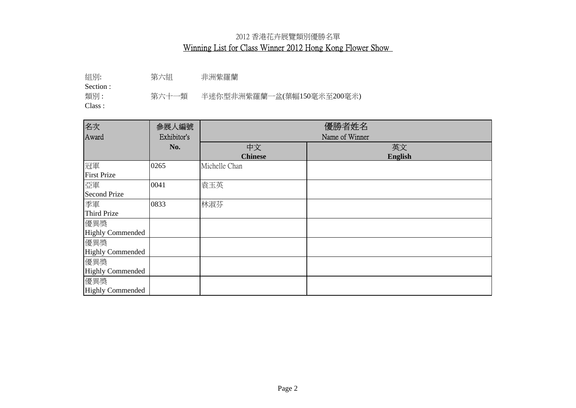組別: 第六組 非洲紫羅蘭

Section :

類別: 第六十一類 半迷你型非洲紫羅蘭一盆(葉幅150毫米至200毫米)

| 名次                      | 参展人編號       | 優勝者姓名          |                |
|-------------------------|-------------|----------------|----------------|
| Award                   | Exhibitor's | Name of Winner |                |
|                         | No.         | 中文             | 英文             |
|                         |             | <b>Chinese</b> | <b>English</b> |
| 冠軍                      | 0265        | Michelle Chan  |                |
| <b>First Prize</b>      |             |                |                |
| 亞軍                      | 0041        | 袁玉英            |                |
| <b>Second Prize</b>     |             |                |                |
| 季軍                      | 0833        | 林淑芬            |                |
| <b>Third Prize</b>      |             |                |                |
| 優異獎                     |             |                |                |
| <b>Highly Commended</b> |             |                |                |
| 優異獎                     |             |                |                |
| <b>Highly Commended</b> |             |                |                |
| 優異獎                     |             |                |                |
| <b>Highly Commended</b> |             |                |                |
| 優異獎                     |             |                |                |
| <b>Highly Commended</b> |             |                |                |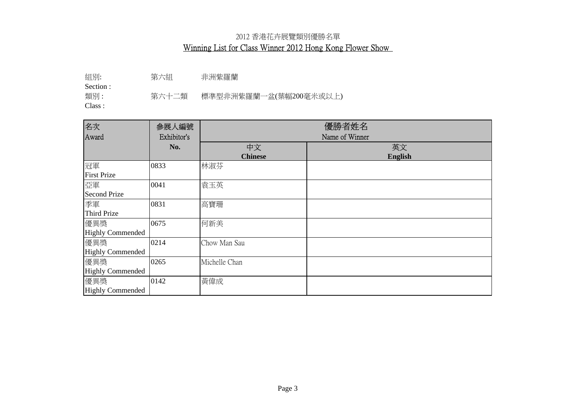組別: 第六組 非洲紫羅蘭

Section :

類別: 第六十二類 標準型非洲紫羅蘭一盆(葉幅200毫米或以上)

| 名次                      | 參展人編號       | 優勝者姓名          |                |
|-------------------------|-------------|----------------|----------------|
| Award                   | Exhibitor's | Name of Winner |                |
|                         | No.         | 中文             | 英文             |
|                         |             | <b>Chinese</b> | <b>English</b> |
| 冠軍                      | 0833        | 林淑芬            |                |
| <b>First Prize</b>      |             |                |                |
| 亞軍                      | 0041        | 袁玉英            |                |
| <b>Second Prize</b>     |             |                |                |
| 季軍                      | 0831        | 高寶珊            |                |
| <b>Third Prize</b>      |             |                |                |
| 優異獎                     | 0675        | 何新美            |                |
| <b>Highly Commended</b> |             |                |                |
| 優異獎                     | 0214        | Chow Man Sau   |                |
| <b>Highly Commended</b> |             |                |                |
| 優異獎                     | 0265        | Michelle Chan  |                |
| <b>Highly Commended</b> |             |                |                |
| 優異獎                     | 0142        | 黃偉成            |                |
| <b>Highly Commended</b> |             |                |                |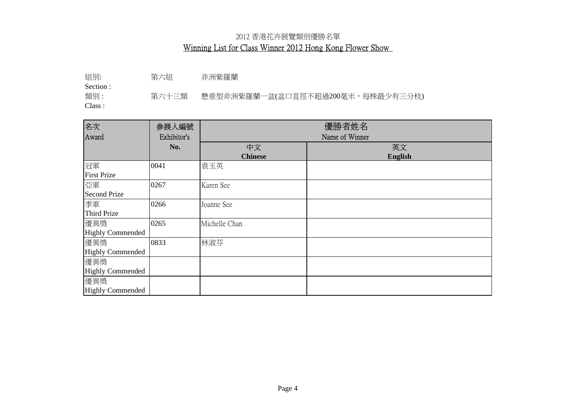組別: 第六組 非洲紫羅蘭

Section :

類別 : 第六十三類 懸垂型非洲紫羅蘭一盆(盆口直徑不超過200毫米,每株最少有三分枝)

| 名次                      | 参展人編號       | 優勝者姓名          |                |
|-------------------------|-------------|----------------|----------------|
| Award                   | Exhibitor's | Name of Winner |                |
|                         | No.         | 中文             | 英文             |
|                         |             | <b>Chinese</b> | <b>English</b> |
| 冠軍                      | 0041        | 袁玉英            |                |
| <b>First Prize</b>      |             |                |                |
| 亞軍                      | 0267        | Karen See      |                |
| <b>Second Prize</b>     |             |                |                |
| 季軍                      | 0266        | Joanne See     |                |
| <b>Third Prize</b>      |             |                |                |
| 優異獎                     | 0265        | Michelle Chan  |                |
| <b>Highly Commended</b> |             |                |                |
| 優異獎                     | 0833        | 林淑芬            |                |
| <b>Highly Commended</b> |             |                |                |
| 優異獎                     |             |                |                |
| <b>Highly Commended</b> |             |                |                |
| 優異獎                     |             |                |                |
| <b>Highly Commended</b> |             |                |                |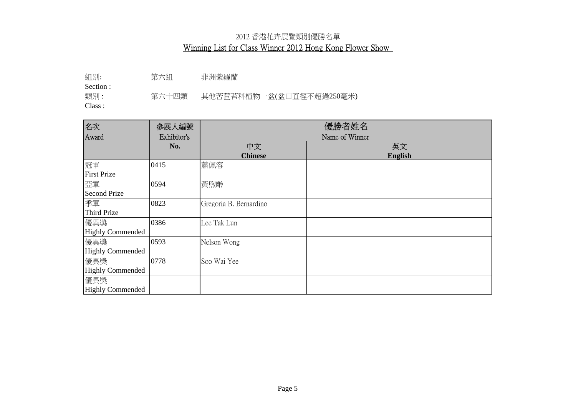組別: 第六組 非洲紫羅蘭

Section :

類別: 第六十四類 其他苦苣苔科植物一盆(盆口直徑不超過250毫米)

| 名次                      | 参展人編號       | 優勝者姓名                  |                |
|-------------------------|-------------|------------------------|----------------|
| Award                   | Exhibitor's | Name of Winner         |                |
|                         | No.         | 中文                     | 英文             |
|                         |             | <b>Chinese</b>         | <b>English</b> |
| 冠軍                      | 0415        | 蕭佩容                    |                |
| <b>First Prize</b>      |             |                        |                |
| 亞軍                      | 0594        | 黃煦齡                    |                |
| <b>Second Prize</b>     |             |                        |                |
| 季軍                      | 0823        | Gregoria B. Bernardino |                |
| <b>Third Prize</b>      |             |                        |                |
| 優異獎                     | 0386        | Lee Tak Lun            |                |
| <b>Highly Commended</b> |             |                        |                |
| 優異獎                     | 0593        | Nelson Wong            |                |
| <b>Highly Commended</b> |             |                        |                |
| 優異獎                     | 0778        | Soo Wai Yee            |                |
| <b>Highly Commended</b> |             |                        |                |
| 優異獎                     |             |                        |                |
| <b>Highly Commended</b> |             |                        |                |